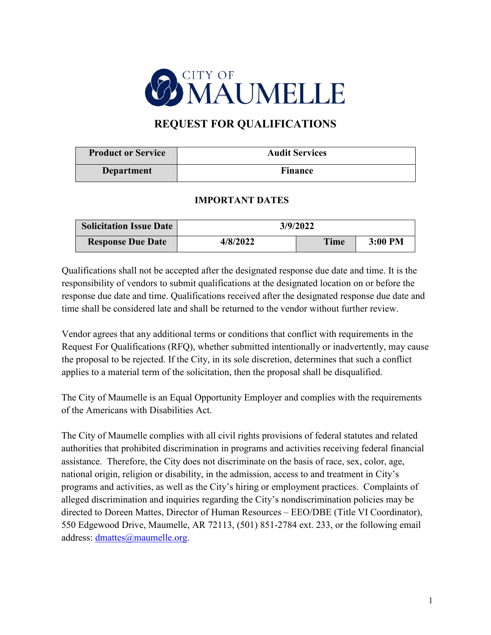

# **REQUEST FOR QUALIFICATIONS**

| <b>Product or Service</b> | <b>Audit Services</b> |
|---------------------------|-----------------------|
| Department                | <b>Finance</b>        |

## **IMPORTANT DATES**

| <b>Solicitation Issue Date</b> |          | 3/9/2022    |           |
|--------------------------------|----------|-------------|-----------|
| <b>Response Due Date</b>       | 4/8/2022 | <b>Time</b> | $3:00$ PM |

Qualifications shall not be accepted after the designated response due date and time. It is the responsibility of vendors to submit qualifications at the designated location on or before the response due date and time. Qualifications received after the designated response due date and time shall be considered late and shall be returned to the vendor without further review.

Vendor agrees that any additional terms or conditions that conflict with requirements in the Request For Qualifications (RFQ), whether submitted intentionally or inadvertently, may cause the proposal to be rejected. If the City, in its sole discretion, determines that such a conflict applies to a material term of the solicitation, then the proposal shall be disqualified.

The City of Maumelle is an Equal Opportunity Employer and complies with the requirements of the Americans with Disabilities Act.

The City of Maumelle complies with all civil rights provisions of federal statutes and related authorities that prohibited discrimination in programs and activities receiving federal financial assistance. Therefore, the City does not discriminate on the basis of race, sex, color, age, national origin, religion or disability, in the admission, access to and treatment in City's programs and activities, as well as the City's hiring or employment practices. Complaints of alleged discrimination and inquiries regarding the City's nondiscrimination policies may be directed to Doreen Mattes, Director of Human Resources – EEO/DBE (Title VI Coordinator), 550 Edgewood Drive, Maumelle, AR 72113, (501) 851-2784 ext. 233, or the following email address: [dmattes@maumelle.org.](mailto:dmattes@maumelle.org)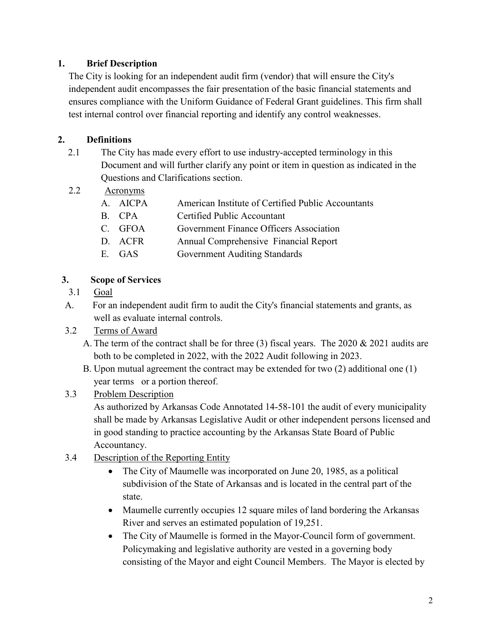# **1. Brief Description**

The City is looking for an independent audit firm (vendor) that will ensure the City's independent audit encompasses the fair presentation of the basic financial statements and ensures compliance with the Uniform Guidance of Federal Grant guidelines. This firm shall test internal control over financial reporting and identify any control weaknesses.

# **2. Definitions**

- 2.1 The City has made every effort to use industry-accepted terminology in this Document and will further clarify any point or item in question as indicated in the Questions and Clarifications section.
- 2.2 Acronyms

| A. AICPA | American Institute of Certified Public Accountants |
|----------|----------------------------------------------------|
| B. CPA   | Certified Public Accountant                        |
| C. GFOA  | Government Finance Officers Association            |
| D. ACFR  | Annual Comprehensive Financial Report              |
| E. GAS   | <b>Government Auditing Standards</b>               |

## **3. Scope of Services**

- 3.1 Goal
- A. For an independent audit firm to audit the City's financial statements and grants, as well as evaluate internal controls.
- 3.2 Terms of Award
	- A. The term of the contract shall be for three (3) fiscal years. The 2020  $& 2021$  audits are both to be completed in 2022, with the 2022 Audit following in 2023.
	- B. Upon mutual agreement the contract may be extended for two (2) additional one (1) year terms or a portion thereof.

# 3.3 Problem Description

As authorized by Arkansas Code Annotated 14-58-101 the audit of every municipality shall be made by Arkansas Legislative Audit or other independent persons licensed and in good standing to practice accounting by the Arkansas State Board of Public Accountancy.

- 3.4 Description of the Reporting Entity
	- The City of Maumelle was incorporated on June 20, 1985, as a political subdivision of the State of Arkansas and is located in the central part of the state.
	- Maumelle currently occupies 12 square miles of land bordering the Arkansas River and serves an estimated population of 19,251.
	- The City of Maumelle is formed in the Mayor-Council form of government. Policymaking and legislative authority are vested in a governing body consisting of the Mayor and eight Council Members. The Mayor is elected by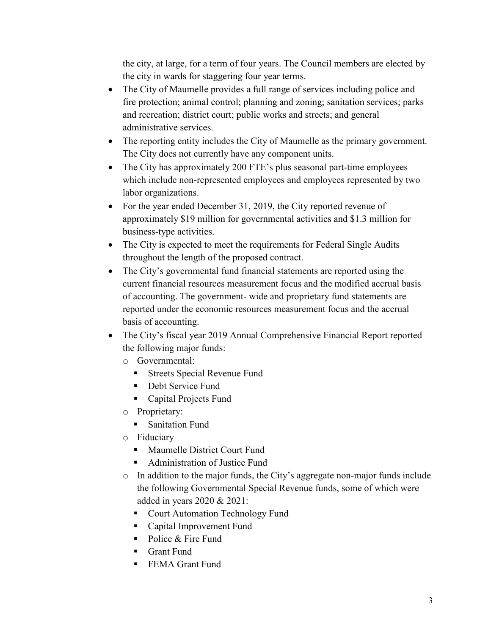the city, at large, for a term of four years. The Council members are elected by the city in wards for staggering four year terms.

- The City of Maumelle provides a full range of services including police and fire protection; animal control; planning and zoning; sanitation services; parks and recreation; district court; public works and streets; and general administrative services.
- The reporting entity includes the City of Maumelle as the primary government. The City does not currently have any component units.
- The City has approximately 200 FTE's plus seasonal part-time employees which include non-represented employees and employees represented by two labor organizations.
- For the year ended December 31, 2019, the City reported revenue of approximately \$19 million for governmental activities and \$1.3 million for business‐type activities.
- The City is expected to meet the requirements for Federal Single Audits throughout the length of the proposed contract.
- The City's governmental fund financial statements are reported using the current financial resources measurement focus and the modified accrual basis of accounting. The government‐ wide and proprietary fund statements are reported under the economic resources measurement focus and the accrual basis of accounting.
- The City's fiscal year 2019 Annual Comprehensive Financial Report reported the following major funds:
	- o Governmental:
		- **Streets Special Revenue Fund**
		- **Debt Service Fund**
		- Capital Projects Fund
	- o Proprietary:
		- **Sanitation Fund**
	- o Fiduciary
		- **Maumelle District Court Fund**
		- Administration of Justice Fund
	- o In addition to the major funds, the City's aggregate non‐major funds include the following Governmental Special Revenue funds, some of which were added in years 2020 & 2021:
		- Court Automation Technology Fund
		- Capital Improvement Fund
		- Police & Fire Fund
		- **Grant Fund**
		- **FEMA Grant Fund**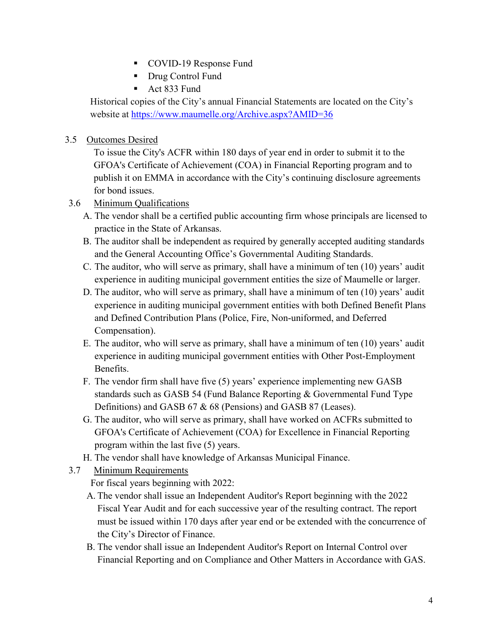- COVID-19 Response Fund
- **Drug Control Fund**
- Act 833 Fund

Historical copies of the City's annual Financial Statements are located on the City's website at<https://www.maumelle.org/Archive.aspx?AMID=36>

## 3.5 Outcomes Desired

To issue the City's ACFR within 180 days of year end in order to submit it to the GFOA's Certificate of Achievement (COA) in Financial Reporting program and to publish it on EMMA in accordance with the City's continuing disclosure agreements for bond issues.

- 3.6 Minimum Qualifications
	- A. The vendor shall be a certified public accounting firm whose principals are licensed to practice in the State of Arkansas.
	- B. The auditor shall be independent as required by generally accepted auditing standards and the General Accounting Office's Governmental Auditing Standards.
	- C. The auditor, who will serve as primary, shall have a minimum of ten (10) years' audit experience in auditing municipal government entities the size of Maumelle or larger.
	- D. The auditor, who will serve as primary, shall have a minimum of ten (10) years' audit experience in auditing municipal government entities with both Defined Benefit Plans and Defined Contribution Plans (Police, Fire, Non-uniformed, and Deferred Compensation).
	- E. The auditor, who will serve as primary, shall have a minimum of ten (10) years' audit experience in auditing municipal government entities with Other Post-Employment Benefits.
	- F. The vendor firm shall have five (5) years' experience implementing new GASB standards such as GASB 54 (Fund Balance Reporting & Governmental Fund Type Definitions) and GASB 67 & 68 (Pensions) and GASB 87 (Leases).
	- G. The auditor, who will serve as primary, shall have worked on ACFRs submitted to GFOA's Certificate of Achievement (COA) for Excellence in Financial Reporting program within the last five (5) years.
	- H. The vendor shall have knowledge of Arkansas Municipal Finance.
- 3.7 Minimum Requirements

For fiscal years beginning with 2022:

- A. The vendor shall issue an Independent Auditor's Report beginning with the 2022 Fiscal Year Audit and for each successive year of the resulting contract. The report must be issued within 170 days after year end or be extended with the concurrence of the City's Director of Finance.
- B. The vendor shall issue an Independent Auditor's Report on Internal Control over Financial Reporting and on Compliance and Other Matters in Accordance with GAS.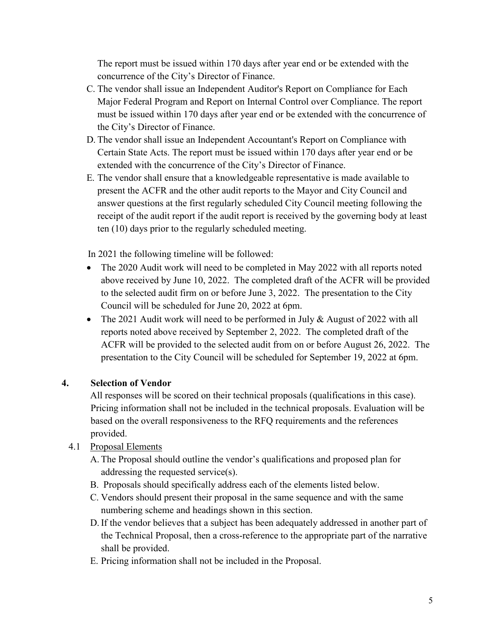The report must be issued within 170 days after year end or be extended with the concurrence of the City's Director of Finance.

- C. The vendor shall issue an Independent Auditor's Report on Compliance for Each Major Federal Program and Report on Internal Control over Compliance. The report must be issued within 170 days after year end or be extended with the concurrence of the City's Director of Finance.
- D. The vendor shall issue an Independent Accountant's Report on Compliance with Certain State Acts. The report must be issued within 170 days after year end or be extended with the concurrence of the City's Director of Finance.
- E. The vendor shall ensure that a knowledgeable representative is made available to present the ACFR and the other audit reports to the Mayor and City Council and answer questions at the first regularly scheduled City Council meeting following the receipt of the audit report if the audit report is received by the governing body at least ten (10) days prior to the regularly scheduled meeting.

In 2021 the following timeline will be followed:

- The 2020 Audit work will need to be completed in May 2022 with all reports noted above received by June 10, 2022. The completed draft of the ACFR will be provided to the selected audit firm on or before June 3, 2022. The presentation to the City Council will be scheduled for June 20, 2022 at 6pm.
- The 2021 Audit work will need to be performed in July & August of 2022 with all reports noted above received by September 2, 2022. The completed draft of the ACFR will be provided to the selected audit from on or before August 26, 2022. The presentation to the City Council will be scheduled for September 19, 2022 at 6pm.

# **4. Selection of Vendor**

All responses will be scored on their technical proposals (qualifications in this case). Pricing information shall not be included in the technical proposals. Evaluation will be based on the overall responsiveness to the RFQ requirements and the references provided.

# 4.1 Proposal Elements

- A. The Proposal should outline the vendor's qualifications and proposed plan for addressing the requested service(s).
- B. Proposals should specifically address each of the elements listed below.
- C. Vendors should present their proposal in the same sequence and with the same numbering scheme and headings shown in this section.
- D. If the vendor believes that a subject has been adequately addressed in another part of the Technical Proposal, then a cross-reference to the appropriate part of the narrative shall be provided.
- E. Pricing information shall not be included in the Proposal.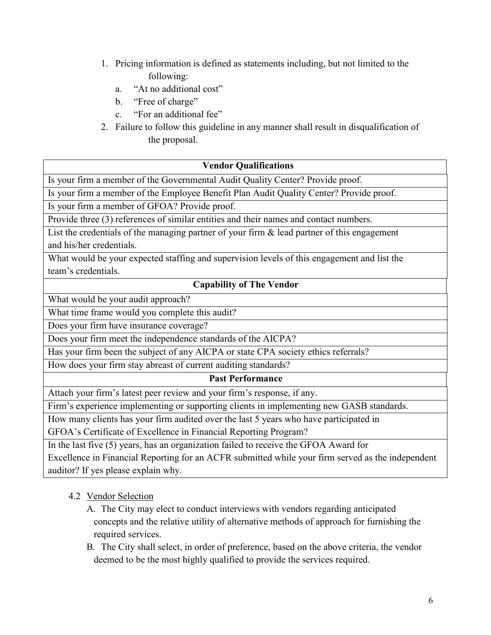- 1. Pricing information is defined as statements including, but not limited to the following:
	- a. "At no additional cost"
	- b. "Free of charge"
	- c. "For an additional fee"
- 2. Failure to follow this guideline in any manner shall result in disqualification of the proposal.

#### **Vendor Qualifications**

Is your firm a member of the Governmental Audit Quality Center? Provide proof.

Is your firm a member of the Employee Benefit Plan Audit Quality Center? Provide proof.

Is your firm a member of GFOA? Provide proof.

Provide three (3) references of similar entities and their names and contact numbers.

List the credentials of the managing partner of your firm  $\&$  lead partner of this engagement and his/her credentials.

What would be your expected staffing and supervision levels of this engagement and list the team's credentials.

#### **Capability of The Vendor**

What would be your audit approach?

What time frame would you complete this audit?

Does your firm have insurance coverage?

Does your firm meet the independence standards of the AICPA?

Has your firm been the subject of any AICPA or state CPA society ethics referrals?

How does your firm stay abreast of current auditing standards?

#### **Past Performance**

Attach your firm's latest peer review and your firm's response, if any.

Firm's experience implementing or supporting clients in implementing new GASB standards.

How many clients has your firm audited over the last 5 years who have participated in

GFOA's Certificate of Excellence in Financial Reporting Program?

In the last five (5) years, has an organization failed to receive the GFOA Award for

Excellence in Financial Reporting for an ACFR submitted while your firm served as the independent auditor? If yes please explain why.

# 4.2 Vendor Selection

- A. The City may elect to conduct interviews with vendors regarding anticipated concepts and the relative utility of alternative methods of approach for furnishing the required services.
- B. The City shall select, in order of preference, based on the above criteria, the vendor deemed to be the most highly qualified to provide the services required.